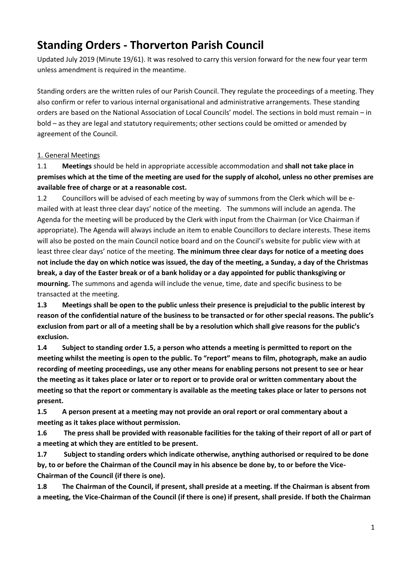# **Standing Orders - Thorverton Parish Council**

Updated July 2019 (Minute 19/61). It was resolved to carry this version forward for the new four year term unless amendment is required in the meantime.

Standing orders are the written rules of our Parish Council. They regulate the proceedings of a meeting. They also confirm or refer to various internal organisational and administrative arrangements. These standing orders are based on the National Association of Local Councils' model. The sections in bold must remain – in bold – as they are legal and statutory requirements; other sections could be omitted or amended by agreement of the Council.

## 1. General Meetings

1.1 **Meetings** should be held in appropriate accessible accommodation and **shall not take place in premises which at the time of the meeting are used for the supply of alcohol, unless no other premises are available free of charge or at a reasonable cost.** 

1.2 Councillors will be advised of each meeting by way of summons from the Clerk which will be emailed with at least three clear days' notice of the meeting. The summons will include an agenda. The Agenda for the meeting will be produced by the Clerk with input from the Chairman (or Vice Chairman if appropriate). The Agenda will always include an item to enable Councillors to declare interests. These items will also be posted on the main Council notice board and on the Council's website for public view with at least three clear days' notice of the meeting. **The minimum three clear days for notice of a meeting does not include the day on which notice was issued, the day of the meeting, a Sunday, a day of the Christmas break, a day of the Easter break or of a bank holiday or a day appointed for public thanksgiving or mourning.** The summons and agenda will include the venue, time, date and specific business to be transacted at the meeting.

**1.3 Meetings shall be open to the public unless their presence is prejudicial to the public interest by reason of the confidential nature of the business to be transacted or for other special reasons. The public's exclusion from part or all of a meeting shall be by a resolution which shall give reasons for the public's exclusion.** 

**1.4 Subject to standing order 1.5, a person who attends a meeting is permitted to report on the meeting whilst the meeting is open to the public. To "report" means to film, photograph, make an audio recording of meeting proceedings, use any other means for enabling persons not present to see or hear the meeting as it takes place or later or to report or to provide oral or written commentary about the meeting so that the report or commentary is available as the meeting takes place or later to persons not present.**

**1.5 A person present at a meeting may not provide an oral report or oral commentary about a meeting as it takes place without permission.**

**1.6 The press shall be provided with reasonable facilities for the taking of their report of all or part of a meeting at which they are entitled to be present.**

**1.7 Subject to standing orders which indicate otherwise, anything authorised or required to be done by, to or before the Chairman of the Council may in his absence be done by, to or before the Vice-Chairman of the Council (if there is one).**

**1.8 The Chairman of the Council, if present, shall preside at a meeting. If the Chairman is absent from a meeting, the Vice-Chairman of the Council (if there is one) if present, shall preside. If both the Chairman**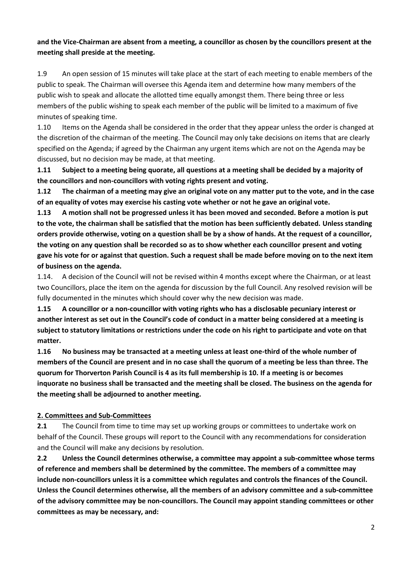## **and the Vice-Chairman are absent from a meeting, a councillor as chosen by the councillors present at the meeting shall preside at the meeting.**

1.9 An open session of 15 minutes will take place at the start of each meeting to enable members of the public to speak. The Chairman will oversee this Agenda item and determine how many members of the public wish to speak and allocate the allotted time equally amongst them. There being three or less members of the public wishing to speak each member of the public will be limited to a maximum of five minutes of speaking time.

1.10 Items on the Agenda shall be considered in the order that they appear unless the order is changed at the discretion of the chairman of the meeting. The Council may only take decisions on items that are clearly specified on the Agenda; if agreed by the Chairman any urgent items which are not on the Agenda may be discussed, but no decision may be made, at that meeting.

**1.11 Subject to a meeting being quorate, all questions at a meeting shall be decided by a majority of the councillors and non-councillors with voting rights present and voting.**

**1.12 The chairman of a meeting may give an original vote on any matter put to the vote, and in the case of an equality of votes may exercise his casting vote whether or not he gave an original vote.**

**1.13 A motion shall not be progressed unless it has been moved and seconded. Before a motion is put to the vote, the chairman shall be satisfied that the motion has been sufficiently debated. Unless standing orders provide otherwise, voting on a question shall be by a show of hands. At the request of a councillor, the voting on any question shall be recorded so as to show whether each councillor present and voting gave his vote for or against that question. Such a request shall be made before moving on to the next item of business on the agenda.**

1.14. A decision of the Council will not be revised within 4 months except where the Chairman, or at least two Councillors, place the item on the agenda for discussion by the full Council. Any resolved revision will be fully documented in the minutes which should cover why the new decision was made.

**1.15 A councillor or a non-councillor with voting rights who has a disclosable pecuniary interest or another interest as set out in the Council's code of conduct in a matter being considered at a meeting is subject to statutory limitations or restrictions under the code on his right to participate and vote on that matter.** 

**1.16 No business may be transacted at a meeting unless at least one-third of the whole number of members of the Council are present and in no case shall the quorum of a meeting be less than three. The quorum for Thorverton Parish Council is 4 as its full membership is 10. If a meeting is or becomes inquorate no business shall be transacted and the meeting shall be closed. The business on the agenda for the meeting shall be adjourned to another meeting.**

## **2. Committees and Sub-Committees**

**2.1** The Council from time to time may set up working groups or committees to undertake work on behalf of the Council. These groups will report to the Council with any recommendations for consideration and the Council will make any decisions by resolution.

**2.2 Unless the Council determines otherwise, a committee may appoint a sub-committee whose terms of reference and members shall be determined by the committee. The members of a committee may include non-councillors unless it is a committee which regulates and controls the finances of the Council. Unless the Council determines otherwise, all the members of an advisory committee and a sub-committee of the advisory committee may be non-councillors. The Council may appoint standing committees or other committees as may be necessary, and:**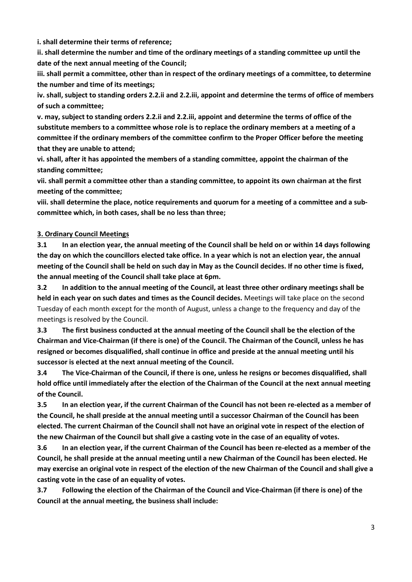**i. shall determine their terms of reference;**

**ii. shall determine the number and time of the ordinary meetings of a standing committee up until the date of the next annual meeting of the Council;**

**iii. shall permit a committee, other than in respect of the ordinary meetings of a committee, to determine the number and time of its meetings;**

**iv. shall, subject to standing orders 2.2.ii and 2.2.iii, appoint and determine the terms of office of members of such a committee;**

**v. may, subject to standing orders 2.2.ii and 2.2.iii, appoint and determine the terms of office of the substitute members to a committee whose role is to replace the ordinary members at a meeting of a committee if the ordinary members of the committee confirm to the Proper Officer before the meeting that they are unable to attend;**

**vi. shall, after it has appointed the members of a standing committee, appoint the chairman of the standing committee;**

**vii. shall permit a committee other than a standing committee, to appoint its own chairman at the first meeting of the committee;**

**viii. shall determine the place, notice requirements and quorum for a meeting of a committee and a subcommittee which, in both cases, shall be no less than three;**

#### **3. Ordinary Council Meetings**

**3.1 In an election year, the annual meeting of the Council shall be held on or within 14 days following the day on which the councillors elected take office. In a year which is not an election year, the annual meeting of the Council shall be held on such day in May as the Council decides. If no other time is fixed, the annual meeting of the Council shall take place at 6pm.**

**3.2 In addition to the annual meeting of the Council, at least three other ordinary meetings shall be held in each year on such dates and times as the Council decides.** Meetings will take place on the second Tuesday of each month except for the month of August, unless a change to the frequency and day of the meetings is resolved by the Council.

**3.3 The first business conducted at the annual meeting of the Council shall be the election of the Chairman and Vice-Chairman (if there is one) of the Council. The Chairman of the Council, unless he has resigned or becomes disqualified, shall continue in office and preside at the annual meeting until his successor is elected at the next annual meeting of the Council.**

**3.4 The Vice-Chairman of the Council, if there is one, unless he resigns or becomes disqualified, shall hold office until immediately after the election of the Chairman of the Council at the next annual meeting of the Council.**

**3.5 In an election year, if the current Chairman of the Council has not been re-elected as a member of the Council, he shall preside at the annual meeting until a successor Chairman of the Council has been elected. The current Chairman of the Council shall not have an original vote in respect of the election of the new Chairman of the Council but shall give a casting vote in the case of an equality of votes.**

**3.6 In an election year, if the current Chairman of the Council has been re-elected as a member of the Council, he shall preside at the annual meeting until a new Chairman of the Council has been elected. He may exercise an original vote in respect of the election of the new Chairman of the Council and shall give a casting vote in the case of an equality of votes.**

**3.7 Following the election of the Chairman of the Council and Vice-Chairman (if there is one) of the Council at the annual meeting, the business shall include:**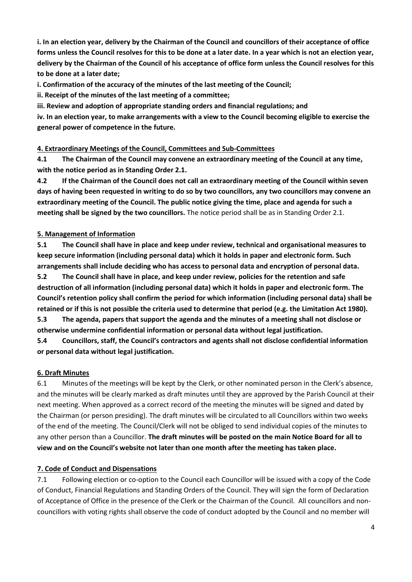**i. In an election year, delivery by the Chairman of the Council and councillors of their acceptance of office forms unless the Council resolves for this to be done at a later date. In a year which is not an election year, delivery by the Chairman of the Council of his acceptance of office form unless the Council resolves for this to be done at a later date;**

**i. Confirmation of the accuracy of the minutes of the last meeting of the Council;**

**ii. Receipt of the minutes of the last meeting of a committee;**

**iii. Review and adoption of appropriate standing orders and financial regulations; and**

**iv. In an election year, to make arrangements with a view to the Council becoming eligible to exercise the general power of competence in the future.**

## **4. Extraordinary Meetings of the Council, Committees and Sub-Committees**

**4.1 The Chairman of the Council may convene an extraordinary meeting of the Council at any time, with the notice period as in Standing Order 2.1.**

**4.2 If the Chairman of the Council does not call an extraordinary meeting of the Council within seven days of having been requested in writing to do so by two councillors, any two councillors may convene an extraordinary meeting of the Council. The public notice giving the time, place and agenda for such a meeting shall be signed by the two councillors.** The notice period shall be as in Standing Order 2.1.

## **5. Management of Information**

**5.1 The Council shall have in place and keep under review, technical and organisational measures to keep secure information (including personal data) which it holds in paper and electronic form. Such arrangements shall include deciding who has access to personal data and encryption of personal data. 5.2 The Council shall have in place, and keep under review, policies for the retention and safe destruction of all information (including personal data) which it holds in paper and electronic form. The Council's retention policy shall confirm the period for which information (including personal data) shall be retained or if this is not possible the criteria used to determine that period (e.g. the Limitation Act 1980).**

**5.3 The agenda, papers that support the agenda and the minutes of a meeting shall not disclose or otherwise undermine confidential information or personal data without legal justification.**

**5.4 Councillors, staff, the Council's contractors and agents shall not disclose confidential information or personal data without legal justification.** 

## **6. Draft Minutes**

6.1 Minutes of the meetings will be kept by the Clerk, or other nominated person in the Clerk's absence, and the minutes will be clearly marked as draft minutes until they are approved by the Parish Council at their next meeting. When approved as a correct record of the meeting the minutes will be signed and dated by the Chairman (or person presiding). The draft minutes will be circulated to all Councillors within two weeks of the end of the meeting. The Council/Clerk will not be obliged to send individual copies of the minutes to any other person than a Councillor. **The draft minutes will be posted on the main Notice Board for all to view and on the Council's website not later than one month after the meeting has taken place.**

## **7. Code of Conduct and Dispensations**

7.1 Following election or co-option to the Council each Councillor will be issued with a copy of the Code of Conduct, Financial Regulations and Standing Orders of the Council. They will sign the form of Declaration of Acceptance of Office in the presence of the Clerk or the Chairman of the Council. All councillors and noncouncillors with voting rights shall observe the code of conduct adopted by the Council and no member will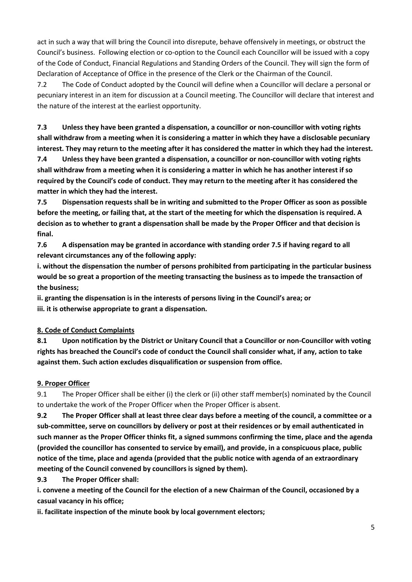act in such a way that will bring the Council into disrepute, behave offensively in meetings, or obstruct the Council's business. Following election or co-option to the Council each Councillor will be issued with a copy of the Code of Conduct, Financial Regulations and Standing Orders of the Council. They will sign the form of Declaration of Acceptance of Office in the presence of the Clerk or the Chairman of the Council.

7.2 The Code of Conduct adopted by the Council will define when a Councillor will declare a personal or pecuniary interest in an item for discussion at a Council meeting. The Councillor will declare that interest and the nature of the interest at the earliest opportunity.

**7.3 Unless they have been granted a dispensation, a councillor or non-councillor with voting rights shall withdraw from a meeting when it is considering a matter in which they have a disclosable pecuniary interest. They may return to the meeting after it has considered the matter in which they had the interest.**

**7.4 Unless they have been granted a dispensation, a councillor or non-councillor with voting rights shall withdraw from a meeting when it is considering a matter in which he has another interest if so required by the Council's code of conduct. They may return to the meeting after it has considered the matter in which they had the interest.**

**7.5 Dispensation requests shall be in writing and submitted to the Proper Officer as soon as possible before the meeting, or failing that, at the start of the meeting for which the dispensation is required. A decision as to whether to grant a dispensation shall be made by the Proper Officer and that decision is final.**

**7.6 A dispensation may be granted in accordance with standing order 7.5 if having regard to all relevant circumstances any of the following apply:**

**i. without the dispensation the number of persons prohibited from participating in the particular business would be so great a proportion of the meeting transacting the business as to impede the transaction of the business;**

**ii. granting the dispensation is in the interests of persons living in the Council's area; or iii. it is otherwise appropriate to grant a dispensation.** 

## **8. Code of Conduct Complaints**

**8.1 Upon notification by the District or Unitary Council that a Councillor or non-Councillor with voting rights has breached the Council's code of conduct the Council shall consider what, if any, action to take against them. Such action excludes disqualification or suspension from office.**

#### **9. Proper Officer**

9.1 The Proper Officer shall be either (i) the clerk or (ii) other staff member(s) nominated by the Council to undertake the work of the Proper Officer when the Proper Officer is absent.

**9.2 The Proper Officer shall at least three clear days before a meeting of the council, a committee or a sub-committee, serve on councillors by delivery or post at their residences or by email authenticated in such manner as the Proper Officer thinks fit, a signed summons confirming the time, place and the agenda (provided the councillor has consented to service by email), and provide, in a conspicuous place, public notice of the time, place and agenda (provided that the public notice with agenda of an extraordinary meeting of the Council convened by councillors is signed by them).**

## **9.3 The Proper Officer shall:**

**i. convene a meeting of the Council for the election of a new Chairman of the Council, occasioned by a casual vacancy in his office;**

**ii. facilitate inspection of the minute book by local government electors;**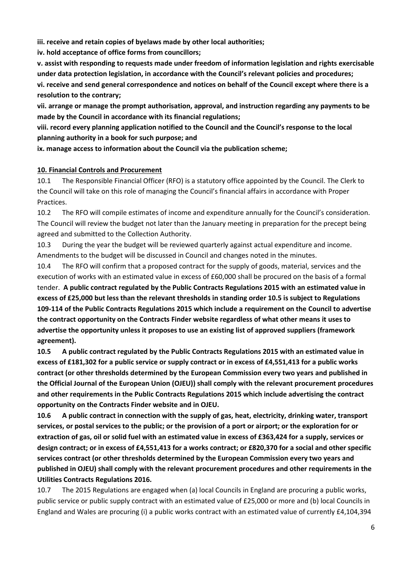**iii. receive and retain copies of byelaws made by other local authorities;**

**iv. hold acceptance of office forms from councillors;**

**v. assist with responding to requests made under freedom of information legislation and rights exercisable under data protection legislation, in accordance with the Council's relevant policies and procedures; vi. receive and send general correspondence and notices on behalf of the Council except where there is a resolution to the contrary;** 

**vii. arrange or manage the prompt authorisation, approval, and instruction regarding any payments to be made by the Council in accordance with its financial regulations;**

**viii. record every planning application notified to the Council and the Council's response to the local planning authority in a book for such purpose; and**

**ix. manage access to information about the Council via the publication scheme;**

#### **10. Financial Controls and Procurement**

10.1 The Responsible Financial Officer (RFO) is a statutory office appointed by the Council. The Clerk to the Council will take on this role of managing the Council's financial affairs in accordance with Proper Practices.

10.2 The RFO will compile estimates of income and expenditure annually for the Council's consideration. The Council will review the budget not later than the January meeting in preparation for the precept being agreed and submitted to the Collection Authority.

10.3 During the year the budget will be reviewed quarterly against actual expenditure and income. Amendments to the budget will be discussed in Council and changes noted in the minutes.

10.4 The RFO will confirm that a proposed contract for the supply of goods, material, services and the execution of works with an estimated value in excess of £60,000 shall be procured on the basis of a formal tender. **A public contract regulated by the Public Contracts Regulations 2015 with an estimated value in excess of £25,000 but less than the relevant thresholds in standing order 10.5 is subject to Regulations 109-114 of the Public Contracts Regulations 2015 which include a requirement on the Council to advertise the contract opportunity on the Contracts Finder website regardless of what other means it uses to advertise the opportunity unless it proposes to use an existing list of approved suppliers (framework agreement).**

**10.5 A public contract regulated by the Public Contracts Regulations 2015 with an estimated value in excess of £181,302 for a public service or supply contract or in excess of £4,551,413 for a public works contract (or other thresholds determined by the European Commission every two years and published in the Official Journal of the European Union (OJEU)) shall comply with the relevant procurement procedures and other requirements in the Public Contracts Regulations 2015 which include advertising the contract opportunity on the Contracts Finder website and in OJEU.**

**10.6 A public contract in connection with the supply of gas, heat, electricity, drinking water, transport services, or postal services to the public; or the provision of a port or airport; or the exploration for or extraction of gas, oil or solid fuel with an estimated value in excess of £363,424 for a supply, services or design contract; or in excess of £4,551,413 for a works contract; or £820,370 for a social and other specific services contract (or other thresholds determined by the European Commission every two years and published in OJEU) shall comply with the relevant procurement procedures and other requirements in the Utilities Contracts Regulations 2016.**

10.7 The 2015 Regulations are engaged when (a) local Councils in England are procuring a public works, public service or public supply contract with an estimated value of £25,000 or more and (b) local Councils in England and Wales are procuring (i) a public works contract with an estimated value of currently £4,104,394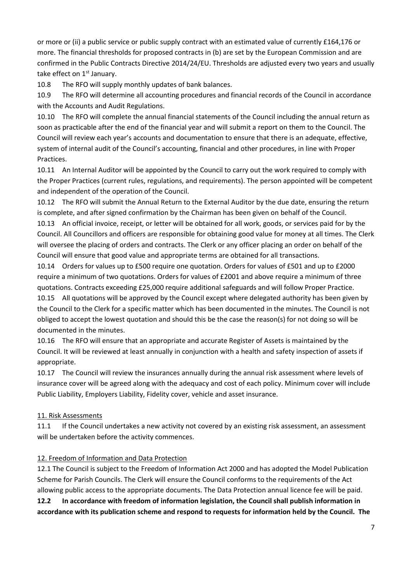or more or (ii) a public service or public supply contract with an estimated value of currently £164,176 or more. The financial thresholds for proposed contracts in (b) are set by the European Commission and are confirmed in the Public Contracts Directive 2014/24/EU. Thresholds are adjusted every two years and usually take effect on 1<sup>st</sup> January.

10.8 The RFO will supply monthly updates of bank balances.

10.9 The RFO will determine all accounting procedures and financial records of the Council in accordance with the Accounts and Audit Regulations.

10.10 The RFO will complete the annual financial statements of the Council including the annual return as soon as practicable after the end of the financial year and will submit a report on them to the Council. The Council will review each year's accounts and documentation to ensure that there is an adequate, effective, system of internal audit of the Council's accounting, financial and other procedures, in line with Proper Practices.

10.11 An Internal Auditor will be appointed by the Council to carry out the work required to comply with the Proper Practices (current rules, regulations, and requirements). The person appointed will be competent and independent of the operation of the Council.

10.12 The RFO will submit the Annual Return to the External Auditor by the due date, ensuring the return is complete, and after signed confirmation by the Chairman has been given on behalf of the Council.

10.13 An official invoice, receipt, or letter will be obtained for all work, goods, or services paid for by the Council. All Councillors and officers are responsible for obtaining good value for money at all times. The Clerk will oversee the placing of orders and contracts. The Clerk or any officer placing an order on behalf of the Council will ensure that good value and appropriate terms are obtained for all transactions.

10.14 Orders for values up to £500 require one quotation. Orders for values of £501 and up to £2000 require a minimum of two quotations. Orders for values of £2001 and above require a minimum of three quotations. Contracts exceeding £25,000 require additional safeguards and will follow Proper Practice.

10.15 All quotations will be approved by the Council except where delegated authority has been given by the Council to the Clerk for a specific matter which has been documented in the minutes. The Council is not obliged to accept the lowest quotation and should this be the case the reason(s) for not doing so will be documented in the minutes.

10.16 The RFO will ensure that an appropriate and accurate Register of Assets is maintained by the Council. It will be reviewed at least annually in conjunction with a health and safety inspection of assets if appropriate.

10.17 The Council will review the insurances annually during the annual risk assessment where levels of insurance cover will be agreed along with the adequacy and cost of each policy. Minimum cover will include Public Liability, Employers Liability, Fidelity cover, vehicle and asset insurance.

## 11. Risk Assessments

11.1 If the Council undertakes a new activity not covered by an existing risk assessment, an assessment will be undertaken before the activity commences.

## 12. Freedom of Information and Data Protection

12.1 The Council is subject to the Freedom of Information Act 2000 and has adopted the Model Publication Scheme for Parish Councils. The Clerk will ensure the Council conforms to the requirements of the Act allowing public access to the appropriate documents. The Data Protection annual licence fee will be paid.

**12.2 In accordance with freedom of information legislation, the Council shall publish information in accordance with its publication scheme and respond to requests for information held by the Council. The**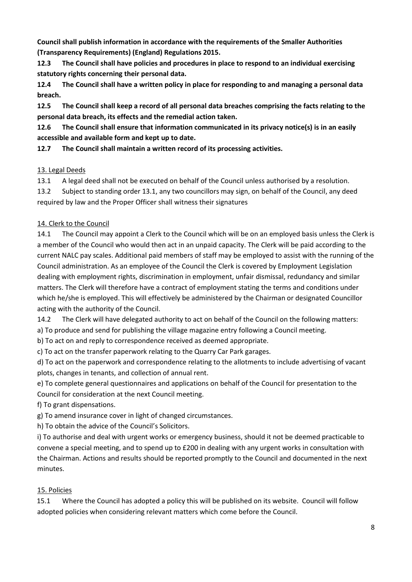**Council shall publish information in accordance with the requirements of the Smaller Authorities (Transparency Requirements) (England) Regulations 2015.**

**12.3 The Council shall have policies and procedures in place to respond to an individual exercising statutory rights concerning their personal data.**

**12.4 The Council shall have a written policy in place for responding to and managing a personal data breach.**

**12.5 The Council shall keep a record of all personal data breaches comprising the facts relating to the personal data breach, its effects and the remedial action taken.**

**12.6 The Council shall ensure that information communicated in its privacy notice(s) is in an easily accessible and available form and kept up to date.**

**12.7 The Council shall maintain a written record of its processing activities.**

# 13. Legal Deeds

13.1 A legal deed shall not be executed on behalf of the Council unless authorised by a resolution.

13.2 Subject to standing order 13.1, any two councillors may sign, on behalf of the Council, any deed required by law and the Proper Officer shall witness their signatures

# 14. Clerk to the Council

14.1 The Council may appoint a Clerk to the Council which will be on an employed basis unless the Clerk is a member of the Council who would then act in an unpaid capacity. The Clerk will be paid according to the current NALC pay scales. Additional paid members of staff may be employed to assist with the running of the Council administration. As an employee of the Council the Clerk is covered by Employment Legislation dealing with employment rights, discrimination in employment, unfair dismissal, redundancy and similar matters. The Clerk will therefore have a contract of employment stating the terms and conditions under which he/she is employed. This will effectively be administered by the Chairman or designated Councillor acting with the authority of the Council.

14.2 The Clerk will have delegated authority to act on behalf of the Council on the following matters:

a) To produce and send for publishing the village magazine entry following a Council meeting.

b) To act on and reply to correspondence received as deemed appropriate.

c) To act on the transfer paperwork relating to the Quarry Car Park garages.

d) To act on the paperwork and correspondence relating to the allotments to include advertising of vacant plots, changes in tenants, and collection of annual rent.

e) To complete general questionnaires and applications on behalf of the Council for presentation to the Council for consideration at the next Council meeting.

f) To grant dispensations.

g) To amend insurance cover in light of changed circumstances.

h) To obtain the advice of the Council's Solicitors.

i) To authorise and deal with urgent works or emergency business, should it not be deemed practicable to convene a special meeting, and to spend up to £200 in dealing with any urgent works in consultation with the Chairman. Actions and results should be reported promptly to the Council and documented in the next minutes.

# 15. Policies

15.1 Where the Council has adopted a policy this will be published on its website. Council will follow adopted policies when considering relevant matters which come before the Council.